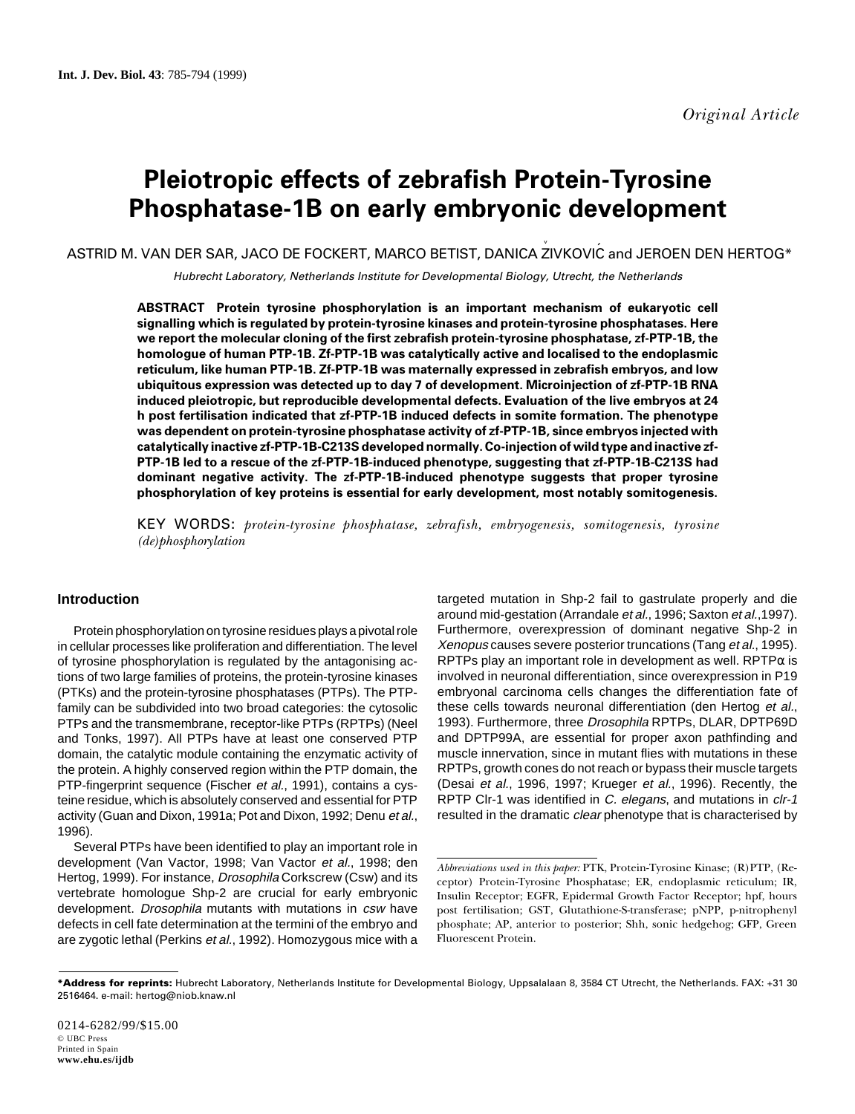# **Pleiotropic effects of zebrafish Protein-Tyrosine Phosphatase-1B on early embryonic development**

ASTRID M. VAN DER SAR, JACO DE FOCKERT, MARCO BETIST, DANICA ZIVKOVIĆ and JEROEN DEN HERTOG\*

Hubrecht Laboratory, Netherlands Institute for Developmental Biology, Utrecht, the Netherlands

**ABSTRACT Protein tyrosine phosphorylation is an important mechanism of eukaryotic cell signalling which is regulated by protein-tyrosine kinases and protein-tyrosine phosphatases. Here we report the molecular cloning of the first zebrafish protein-tyrosine phosphatase, zf-PTP-1B, the homologue of human PTP-1B. Zf-PTP-1B was catalytically active and localised to the endoplasmic reticulum, like human PTP-1B. Zf-PTP-1B was maternally expressed in zebrafish embryos, and low ubiquitous expression was detected up to day 7 of development. Microinjection of zf-PTP-1B RNA induced pleiotropic, but reproducible developmental defects. Evaluation of the live embryos at 24 h post fertilisation indicated that zf-PTP-1B induced defects in somite formation. The phenotype was dependent on protein-tyrosine phosphatase activity of zf-PTP-1B, since embryos injected with catalytically inactive zf-PTP-1B-C213S developed normally. Co-injection of wild type and inactive zf-PTP-1B led to a rescue of the zf-PTP-1B-induced phenotype, suggesting that zf-PTP-1B-C213S had dominant negative activity. The zf-PTP-1B-induced phenotype suggests that proper tyrosine phosphorylation of key proteins is essential for early development, most notably somitogenesis.**

KEY WORDS: *protein-tyrosine phosphatase, zebrafish, embryogenesis, somitogenesis, tyrosine (de)phosphorylation*

# **Introduction**

Protein phosphorylation on tyrosine residues plays a pivotal role in cellular processes like proliferation and differentiation. The level of tyrosine phosphorylation is regulated by the antagonising actions of two large families of proteins, the protein-tyrosine kinases (PTKs) and the protein-tyrosine phosphatases (PTPs). The PTPfamily can be subdivided into two broad categories: the cytosolic PTPs and the transmembrane, receptor-like PTPs (RPTPs) (Neel and Tonks, 1997). All PTPs have at least one conserved PTP domain, the catalytic module containing the enzymatic activity of the protein. A highly conserved region within the PTP domain, the PTP-fingerprint sequence (Fischer et al., 1991), contains a cysteine residue, which is absolutely conserved and essential for PTP activity (Guan and Dixon, 1991a; Pot and Dixon, 1992; Denu et al., 1996).

Several PTPs have been identified to play an important role in development (Van Vactor, 1998; Van Vactor et al., 1998; den Hertog, 1999). For instance, *Drosophila* Corkscrew (Csw) and its vertebrate homologue Shp-2 are crucial for early embryonic development. Drosophila mutants with mutations in csw have defects in cell fate determination at the termini of the embryo and are zygotic lethal (Perkins et al., 1992). Homozygous mice with a targeted mutation in Shp-2 fail to gastrulate properly and die around mid-gestation (Arrandale et al., 1996; Saxton et al.,1997). Furthermore, overexpression of dominant negative Shp-2 in Xenopus causes severe posterior truncations (Tang et al., 1995). RPTPs play an important role in development as well. RPTP $\alpha$  is involved in neuronal differentiation, since overexpression in P19 embryonal carcinoma cells changes the differentiation fate of these cells towards neuronal differentiation (den Hertog et al., 1993). Furthermore, three Drosophila RPTPs, DLAR, DPTP69D and DPTP99A, are essential for proper axon pathfinding and muscle innervation, since in mutant flies with mutations in these RPTPs, growth cones do not reach or bypass their muscle targets (Desai et al., 1996, 1997; Krueger et al., 1996). Recently, the RPTP Clr-1 was identified in C. elegans, and mutations in clr-1 resulted in the dramatic clear phenotype that is characterised by

*Abbreviations used in this paper:* PTK, Protein-Tyrosine Kinase; (R)PTP, (Receptor) Protein-Tyrosine Phosphatase; ER, endoplasmic reticulum; IR, Insulin Receptor; EGFR, Epidermal Growth Factor Receptor; hpf, hours post fertilisation; GST, Glutathione-S-transferase; pNPP, p-nitrophenyl phosphate; AP, anterior to posterior; Shh, sonic hedgehog; GFP, Green Fluorescent Protein.

**<sup>\*</sup>Address for reprints:** Hubrecht Laboratory, Netherlands Institute for Developmental Biology, Uppsalalaan 8, 3584 CT Utrecht, the Netherlands. FAX: +31 30 2516464. e-mail: hertog@niob.knaw.nl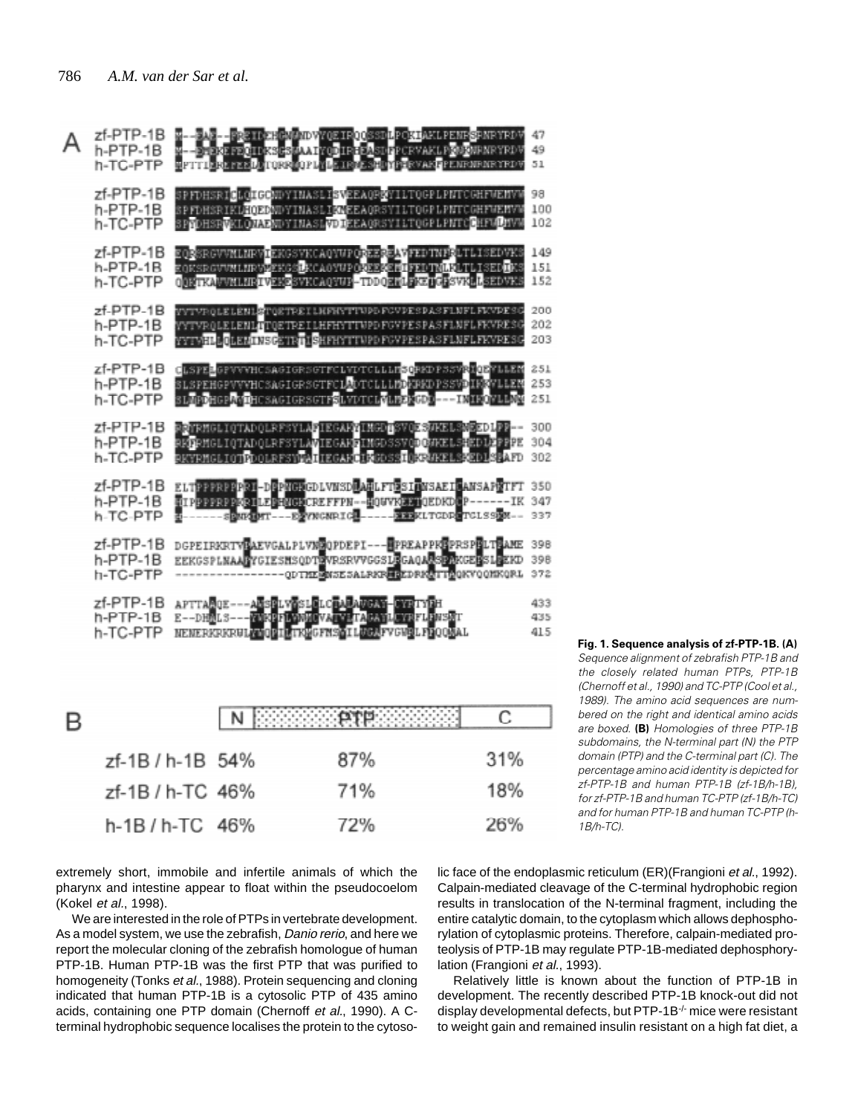

| zf-1B / h-1B 54% | 87% | 31% |
|------------------|-----|-----|
| zf-1B / h-TC 46% | 71% | 18% |
| $h-1B/h-TC$ 46%  | 72% | 26% |

**Fig. 1. Sequence analysis of zf-PTP-1B. (A)** Sequence alignment of zebrafish PTP-1B and the closely related human PTPs, PTP-1B (Chernoff et al., 1990) and TC-PTP (Cool et al., 1989). The amino acid sequences are numbered on the right and identical amino acids are boxed. **(B)** Homologies of three PTP-1B subdomains, the N-terminal part (N) the PTP domain (PTP) and the C-terminal part (C). The percentage amino acid identity is depicted for zf-PTP-1B and human PTP-1B (zf-1B/h-1B), for zf-PTP-1B and human TC-PTP (zf-1B/h-TC) and for human PTP-1B and human TC-PTP (h- $1R/h$ -TC)

extremely short, immobile and infertile animals of which the pharynx and intestine appear to float within the pseudocoelom (Kokel et al., 1998).

We are interested in the role of PTPs in vertebrate development. As a model system, we use the zebrafish, Danio rerio, and here we report the molecular cloning of the zebrafish homologue of human PTP-1B. Human PTP-1B was the first PTP that was purified to homogeneity (Tonks et al., 1988). Protein sequencing and cloning indicated that human PTP-1B is a cytosolic PTP of 435 amino acids, containing one PTP domain (Chernoff et al., 1990). A Cterminal hydrophobic sequence localises the protein to the cytosolic face of the endoplasmic reticulum (ER)(Frangioni et al., 1992). Calpain-mediated cleavage of the C-terminal hydrophobic region results in translocation of the N-terminal fragment, including the entire catalytic domain, to the cytoplasm which allows dephosphorylation of cytoplasmic proteins. Therefore, calpain-mediated proteolysis of PTP-1B may regulate PTP-1B-mediated dephosphorylation (Frangioni et al., 1993).

Relatively little is known about the function of PTP-1B in development. The recently described PTP-1B knock-out did not display developmental defects, but PTP-1B-/- mice were resistant to weight gain and remained insulin resistant on a high fat diet, a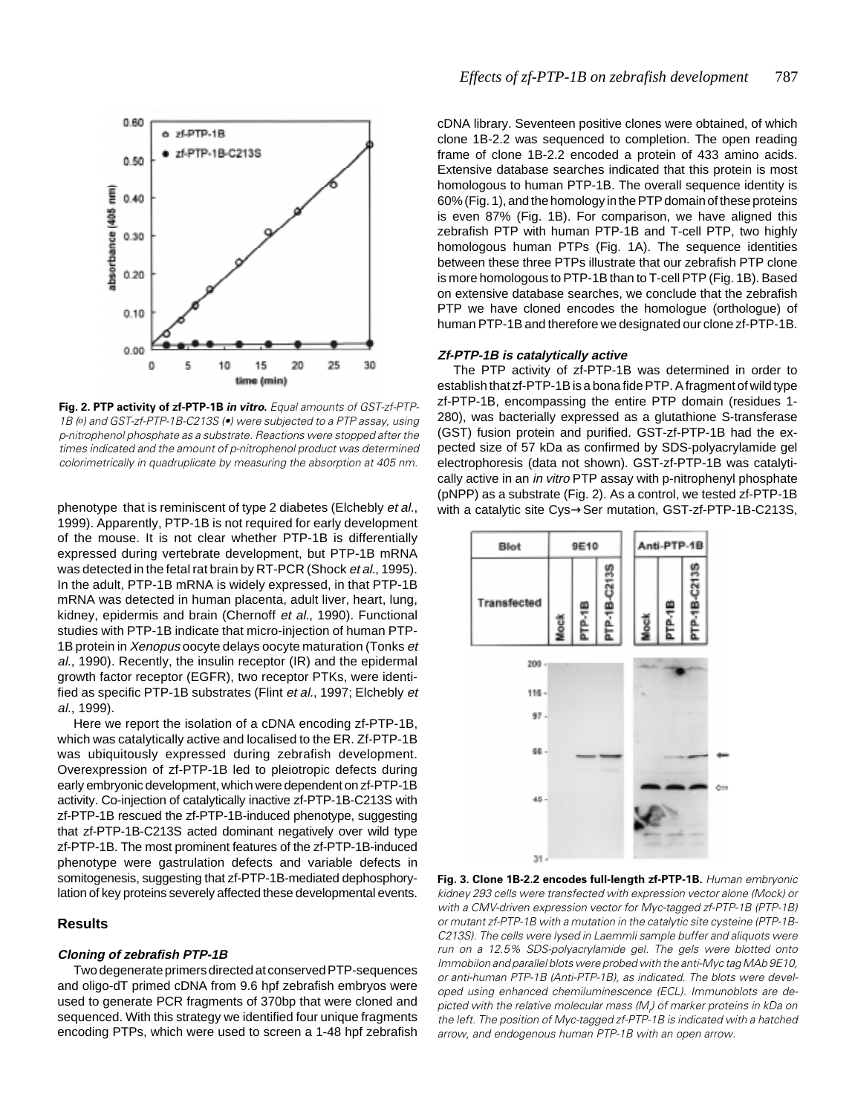

**Fig. 2. PTP activity of zf-PTP-1B in vitro.** Equal amounts of GST-zf-PTP-1B (*o*) and GST-zf-PTP-1B-C213S (•) were subjected to a PTP assay, using p-nitrophenol phosphate as a substrate. Reactions were stopped after the times indicated and the amount of p-nitrophenol product was determined colorimetrically in quadruplicate by measuring the absorption at 405 nm.

phenotype that is reminiscent of type 2 diabetes (Elchebly et al., 1999). Apparently, PTP-1B is not required for early development of the mouse. It is not clear whether PTP-1B is differentially expressed during vertebrate development, but PTP-1B mRNA was detected in the fetal rat brain by RT-PCR (Shock et al., 1995). In the adult, PTP-1B mRNA is widely expressed, in that PTP-1B mRNA was detected in human placenta, adult liver, heart, lung, kidney, epidermis and brain (Chernoff et al., 1990). Functional studies with PTP-1B indicate that micro-injection of human PTP-1B protein in Xenopus oocyte delays oocyte maturation (Tonks et al., 1990). Recently, the insulin receptor (IR) and the epidermal growth factor receptor (EGFR), two receptor PTKs, were identified as specific PTP-1B substrates (Flint et al., 1997; Elchebly et al., 1999).

Here we report the isolation of a cDNA encoding zf-PTP-1B, which was catalytically active and localised to the ER. Zf-PTP-1B was ubiquitously expressed during zebrafish development. Overexpression of zf-PTP-1B led to pleiotropic defects during early embryonic development, which were dependent on zf-PTP-1B activity. Co-injection of catalytically inactive zf-PTP-1B-C213S with zf-PTP-1B rescued the zf-PTP-1B-induced phenotype, suggesting that zf-PTP-1B-C213S acted dominant negatively over wild type zf-PTP-1B. The most prominent features of the zf-PTP-1B-induced phenotype were gastrulation defects and variable defects in somitogenesis, suggesting that zf-PTP-1B-mediated dephosphorylation of key proteins severely affected these developmental events.

# **Results**

## **Cloning of zebrafish PTP-1B**

Two degenerate primers directed at conserved PTP-sequences and oligo-dT primed cDNA from 9.6 hpf zebrafish embryos were used to generate PCR fragments of 370bp that were cloned and sequenced. With this strategy we identified four unique fragments encoding PTPs, which were used to screen a 1-48 hpf zebrafish cDNA library. Seventeen positive clones were obtained, of which clone 1B-2.2 was sequenced to completion. The open reading frame of clone 1B-2.2 encoded a protein of 433 amino acids. Extensive database searches indicated that this protein is most homologous to human PTP-1B. The overall sequence identity is 60% (Fig. 1), and the homology in the PTP domain of these proteins is even 87% (Fig. 1B). For comparison, we have aligned this zebrafish PTP with human PTP-1B and T-cell PTP, two highly homologous human PTPs (Fig. 1A). The sequence identities between these three PTPs illustrate that our zebrafish PTP clone is more homologous to PTP-1B than to T-cell PTP (Fig. 1B). Based on extensive database searches, we conclude that the zebrafish PTP we have cloned encodes the homologue (orthologue) of human PTP-1B and therefore we designated our clone zf-PTP-1B.

### **Zf-PTP-1B is catalytically active**

The PTP activity of zf-PTP-1B was determined in order to establish that zf-PTP-1B is a bona fide PTP. A fragment of wild type zf-PTP-1B, encompassing the entire PTP domain (residues 1- 280), was bacterially expressed as a glutathione S-transferase (GST) fusion protein and purified. GST-zf-PTP-1B had the expected size of 57 kDa as confirmed by SDS-polyacrylamide gel electrophoresis (data not shown). GST-zf-PTP-1B was catalytically active in an *in vitro* PTP assay with p-nitrophenyl phosphate (pNPP) as a substrate (Fig. 2). As a control, we tested zf-PTP-1B with a catalytic site Cys→Ser mutation, GST-zf-PTP-1B-C213S,



**Fig. 3. Clone 1B-2.2 encodes full-length zf-PTP-1B.** Human embryonic kidney 293 cells were transfected with expression vector alone (Mock) or with a CMV-driven expression vector for Myc-tagged zf-PTP-1B (PTP-1B) or mutant zf-PTP-1B with a mutation in the catalytic site cysteine (PTP-1B-C213S). The cells were lysed in Laemmli sample buffer and aliquots were run on a 12.5% SDS-polyacrylamide gel. The gels were blotted onto Immobilon and parallel blots were probed with the anti-Myc tag MAb 9E10, or anti-human PTP-1B (Anti-PTP-1B), as indicated. The blots were developed using enhanced chemiluminescence (ECL). Immunoblots are depicted with the relative molecular mass (M<sub>r</sub>) of marker proteins in kDa on the left. The position of Myc-tagged zf-PTP-1B is indicated with a hatched arrow, and endogenous human PTP-1B with an open arrow.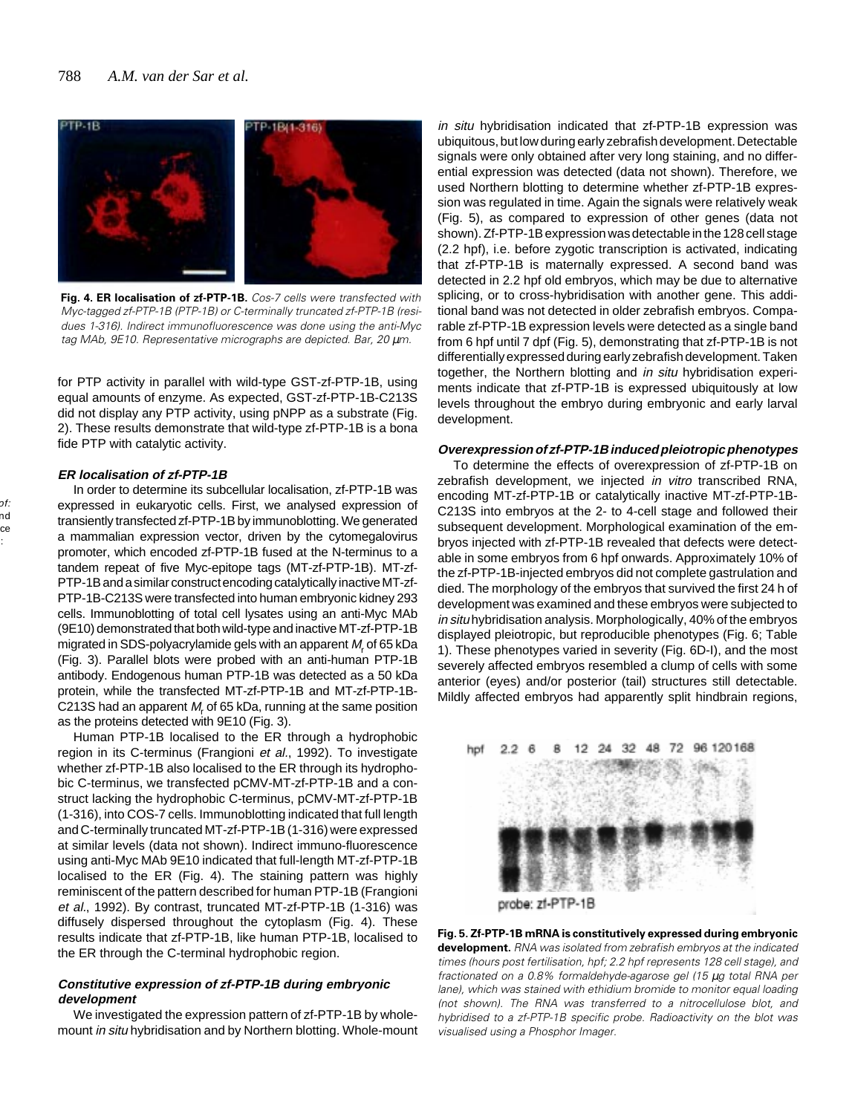

**Fig. 4. ER localisation of zf-PTP-1B.** Cos-7 cells were transfected with Myc-tagged zf-PTP-1B (PTP-1B) or C-terminally truncated zf-PTP-1B (residues 1-316). Indirect immunofluorescence was done using the anti-Myc tag MAb, 9E10. Representative micrographs are depicted. Bar, 20 µm.

for PTP activity in parallel with wild-type GST-zf-PTP-1B, using equal amounts of enzyme. As expected, GST-zf-PTP-1B-C213S did not display any PTP activity, using pNPP as a substrate (Fig. 2). These results demonstrate that wild-type zf-PTP-1B is a bona fide PTP with catalytic activity.

## **ER localisation of zf-PTP-1B**

In order to determine its subcellular localisation, zf-PTP-1B was expressed in eukaryotic cells. First, we analysed expression of transiently transfected zf-PTP-1B by immunoblotting. We generated a mammalian expression vector, driven by the cytomegalovirus promoter, which encoded zf-PTP-1B fused at the N-terminus to a tandem repeat of five Myc-epitope tags (MT-zf-PTP-1B). MT-zf-PTP-1B and a similar construct encoding catalytically inactive MT-zf-PTP-1B-C213S were transfected into human embryonic kidney 293 cells. Immunoblotting of total cell lysates using an anti-Myc MAb (9E10) demonstrated that both wild-type and inactive MT-zf-PTP-1B migrated in SDS-polyacrylamide gels with an apparent  $M_{\sf r}$  of 65 kDa (Fig. 3). Parallel blots were probed with an anti-human PTP-1B antibody. Endogenous human PTP-1B was detected as a 50 kDa protein, while the transfected MT-zf-PTP-1B and MT-zf-PTP-1B-C213S had an apparent  $M_{\sf r}$  of 65 kDa, running at the same position as the proteins detected with 9E10 (Fig. 3).

Human PTP-1B localised to the ER through a hydrophobic region in its C-terminus (Frangioni et al., 1992). To investigate whether zf-PTP-1B also localised to the ER through its hydrophobic C-terminus, we transfected pCMV-MT-zf-PTP-1B and a construct lacking the hydrophobic C-terminus, pCMV-MT-zf-PTP-1B (1-316), into COS-7 cells. Immunoblotting indicated that full length and C-terminally truncated MT-zf-PTP-1B (1-316) were expressed at similar levels (data not shown). Indirect immuno-fluorescence using anti-Myc MAb 9E10 indicated that full-length MT-zf-PTP-1B localised to the ER (Fig. 4). The staining pattern was highly reminiscent of the pattern described for human PTP-1B (Frangioni et al., 1992). By contrast, truncated MT-zf-PTP-1B (1-316) was diffusely dispersed throughout the cytoplasm (Fig. 4). These results indicate that zf-PTP-1B, like human PTP-1B, localised to the ER through the C-terminal hydrophobic region.

## **Constitutive expression of zf-PTP-1B during embryonic development**

We investigated the expression pattern of zf-PTP-1B by wholemount in situ hybridisation and by Northern blotting. Whole-mount

in situ hybridisation indicated that zf-PTP-1B expression was ubiquitous, but low during early zebrafish development. Detectable signals were only obtained after very long staining, and no differential expression was detected (data not shown). Therefore, we used Northern blotting to determine whether zf-PTP-1B expression was regulated in time. Again the signals were relatively weak (Fig. 5), as compared to expression of other genes (data not shown). Zf-PTP-1B expression was detectable in the 128 cell stage (2.2 hpf), i.e. before zygotic transcription is activated, indicating that zf-PTP-1B is maternally expressed. A second band was detected in 2.2 hpf old embryos, which may be due to alternative splicing, or to cross-hybridisation with another gene. This additional band was not detected in older zebrafish embryos. Comparable zf-PTP-1B expression levels were detected as a single band from 6 hpf until 7 dpf (Fig. 5), demonstrating that zf-PTP-1B is not differentially expressed during early zebrafish development. Taken together, the Northern blotting and in situ hybridisation experiments indicate that zf-PTP-1B is expressed ubiquitously at low levels throughout the embryo during embryonic and early larval development.

## **Overexpression of zf-PTP-1B induced pleiotropic phenotypes**

To determine the effects of overexpression of zf-PTP-1B on zebrafish development, we injected in vitro transcribed RNA, encoding MT-zf-PTP-1B or catalytically inactive MT-zf-PTP-1B-C213S into embryos at the 2- to 4-cell stage and followed their subsequent development. Morphological examination of the embryos injected with zf-PTP-1B revealed that defects were detectable in some embryos from 6 hpf onwards. Approximately 10% of the zf-PTP-1B-injected embryos did not complete gastrulation and died. The morphology of the embryos that survived the first 24 h of development was examined and these embryos were subjected to in situ hybridisation analysis. Morphologically, 40% of the embryos displayed pleiotropic, but reproducible phenotypes (Fig. 6; Table 1). These phenotypes varied in severity (Fig. 6D-I), and the most severely affected embryos resembled a clump of cells with some anterior (eyes) and/or posterior (tail) structures still detectable. Mildly affected embryos had apparently split hindbrain regions,





**Fig. 5. Zf-PTP-1B mRNA is constitutively expressed during embryonic development.** RNA was isolated from zebrafish embryos at the indicated times (hours post fertilisation, hpf; 2.2 hpf represents 128 cell stage), and fractionated on a 0.8% formaldehyde-agarose gel (15 µg total RNA per lane), which was stained with ethidium bromide to monitor equal loading (not shown). The RNA was transferred to a nitrocellulose blot, and hybridised to a zf-PTP-1B specific probe. Radioactivity on the blot was visualised using a Phosphor Imager.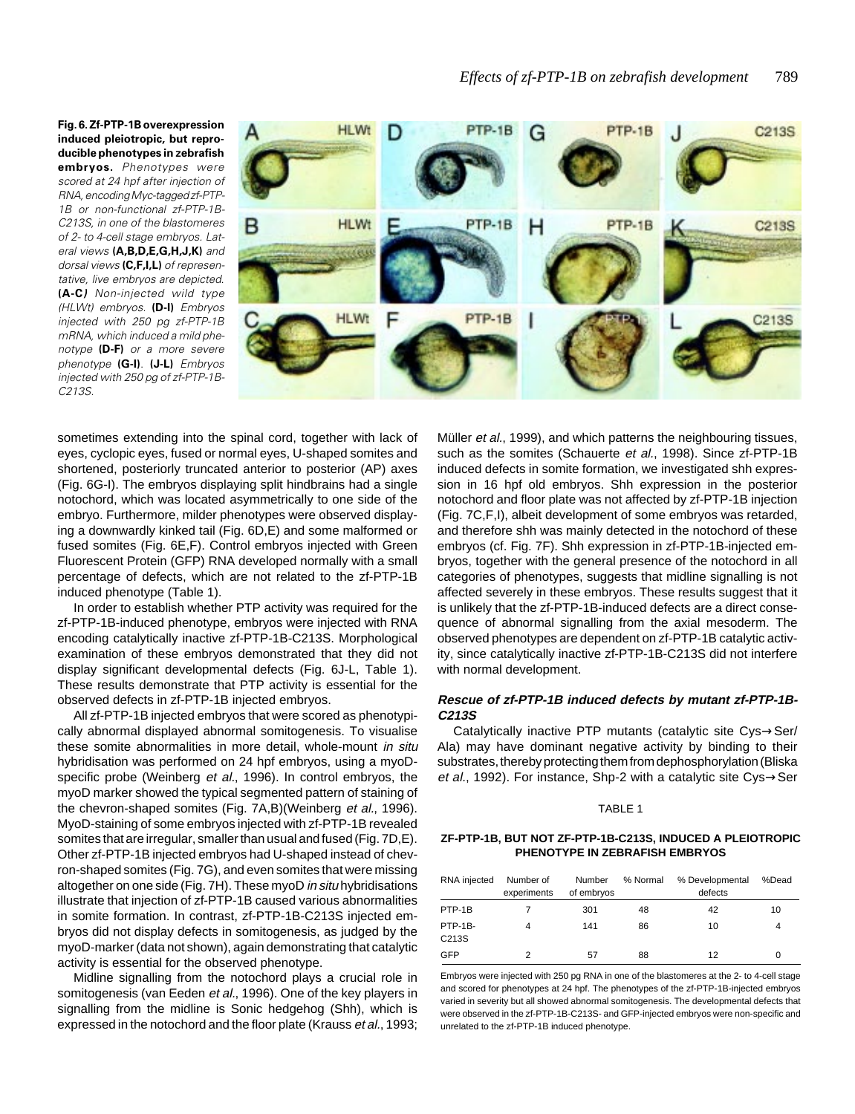**Fig. 6. Zf-PTP-1B overexpression induced pleiotropic, but reproducible phenotypes in zebrafish embryos.** Phenotypes were scored at 24 hpf after injection of RNA, encoding Myc-tagged zf-PTP-1B or non-functional zf-PTP-1B-C213S, in one of the blastomeres of 2- to 4-cell stage embryos. Lateral views **(A,B,D,E,G,H,J,K)** and dorsal views **(C,F,I,L)** of representative, live embryos are depicted. **(A-C)** Non-injected wild type (HLWt) embryos. **(D-I)** Embryos injected with 250 pg zf-PTP-1B mRNA, which induced a mild phenotype **(D-F)** or a more severe phenotype **(G-I)**. **(J-L)** Embryos injected with 250 pg of zf-PTP-1B-C213S.



sometimes extending into the spinal cord, together with lack of eyes, cyclopic eyes, fused or normal eyes, U-shaped somites and shortened, posteriorly truncated anterior to posterior (AP) axes (Fig. 6G-I). The embryos displaying split hindbrains had a single notochord, which was located asymmetrically to one side of the embryo. Furthermore, milder phenotypes were observed displaying a downwardly kinked tail (Fig. 6D,E) and some malformed or fused somites (Fig. 6E,F). Control embryos injected with Green Fluorescent Protein (GFP) RNA developed normally with a small percentage of defects, which are not related to the zf-PTP-1B induced phenotype (Table 1).

In order to establish whether PTP activity was required for the zf-PTP-1B-induced phenotype, embryos were injected with RNA encoding catalytically inactive zf-PTP-1B-C213S. Morphological examination of these embryos demonstrated that they did not display significant developmental defects (Fig. 6J-L, Table 1). These results demonstrate that PTP activity is essential for the observed defects in zf-PTP-1B injected embryos.

All zf-PTP-1B injected embryos that were scored as phenotypically abnormal displayed abnormal somitogenesis. To visualise these somite abnormalities in more detail, whole-mount in situ hybridisation was performed on 24 hpf embryos, using a myoDspecific probe (Weinberg et al., 1996). In control embryos, the myoD marker showed the typical segmented pattern of staining of the chevron-shaped somites (Fig. 7A,B)(Weinberg et al., 1996). MyoD-staining of some embryos injected with zf-PTP-1B revealed somites that are irregular, smaller than usual and fused (Fig. 7D,E). Other zf-PTP-1B injected embryos had U-shaped instead of chevron-shaped somites (Fig. 7G), and even somites that were missing altogether on one side (Fig. 7H). These myoD in situ hybridisations illustrate that injection of zf-PTP-1B caused various abnormalities in somite formation. In contrast, zf-PTP-1B-C213S injected embryos did not display defects in somitogenesis, as judged by the myoD-marker (data not shown), again demonstrating that catalytic activity is essential for the observed phenotype.

Midline signalling from the notochord plays a crucial role in somitogenesis (van Eeden et al., 1996). One of the key players in signalling from the midline is Sonic hedgehog (Shh), which is expressed in the notochord and the floor plate (Krauss et al., 1993;

Müller *et al.*, 1999), and which patterns the neighbouring tissues, such as the somites (Schauerte et al., 1998). Since zf-PTP-1B induced defects in somite formation, we investigated shh expression in 16 hpf old embryos. Shh expression in the posterior notochord and floor plate was not affected by zf-PTP-1B injection (Fig. 7C,F,I), albeit development of some embryos was retarded, and therefore shh was mainly detected in the notochord of these embryos (cf. Fig. 7F). Shh expression in zf-PTP-1B-injected embryos, together with the general presence of the notochord in all categories of phenotypes, suggests that midline signalling is not affected severely in these embryos. These results suggest that it is unlikely that the zf-PTP-1B-induced defects are a direct consequence of abnormal signalling from the axial mesoderm. The observed phenotypes are dependent on zf-PTP-1B catalytic activity, since catalytically inactive zf-PTP-1B-C213S did not interfere with normal development.

# **Rescue of zf-PTP-1B induced defects by mutant zf-PTP-1B-C213S**

Catalytically inactive PTP mutants (catalytic site Cys→Ser/ Ala) may have dominant negative activity by binding to their substrates, thereby protecting them from dephosphorylation (Bliska et al., 1992). For instance, Shp-2 with a catalytic site Cys→Ser

## TABLE 1

## **ZF-PTP-1B, BUT NOT ZF-PTP-1B-C213S, INDUCED A PLEIOTROPIC PHENOTYPE IN ZEBRAFISH EMBRYOS**

| RNA injected     | Number of<br>experiments | Number<br>of embryos | % Normal | % Developmental<br>defects | %Dead |
|------------------|--------------------------|----------------------|----------|----------------------------|-------|
| PTP-1B           |                          | 301                  | 48       | 42                         | 10    |
| PTP-1B-<br>C213S | 4                        | 141                  | 86       | 10                         | 4     |
| <b>GFP</b>       |                          | 57                   | 88       | 12                         | 0     |

Embryos were injected with 250 pg RNA in one of the blastomeres at the 2- to 4-cell stage and scored for phenotypes at 24 hpf. The phenotypes of the zf-PTP-1B-injected embryos varied in severity but all showed abnormal somitogenesis. The developmental defects that were observed in the zf-PTP-1B-C213S- and GFP-injected embryos were non-specific and unrelated to the zf-PTP-1B induced phenotype.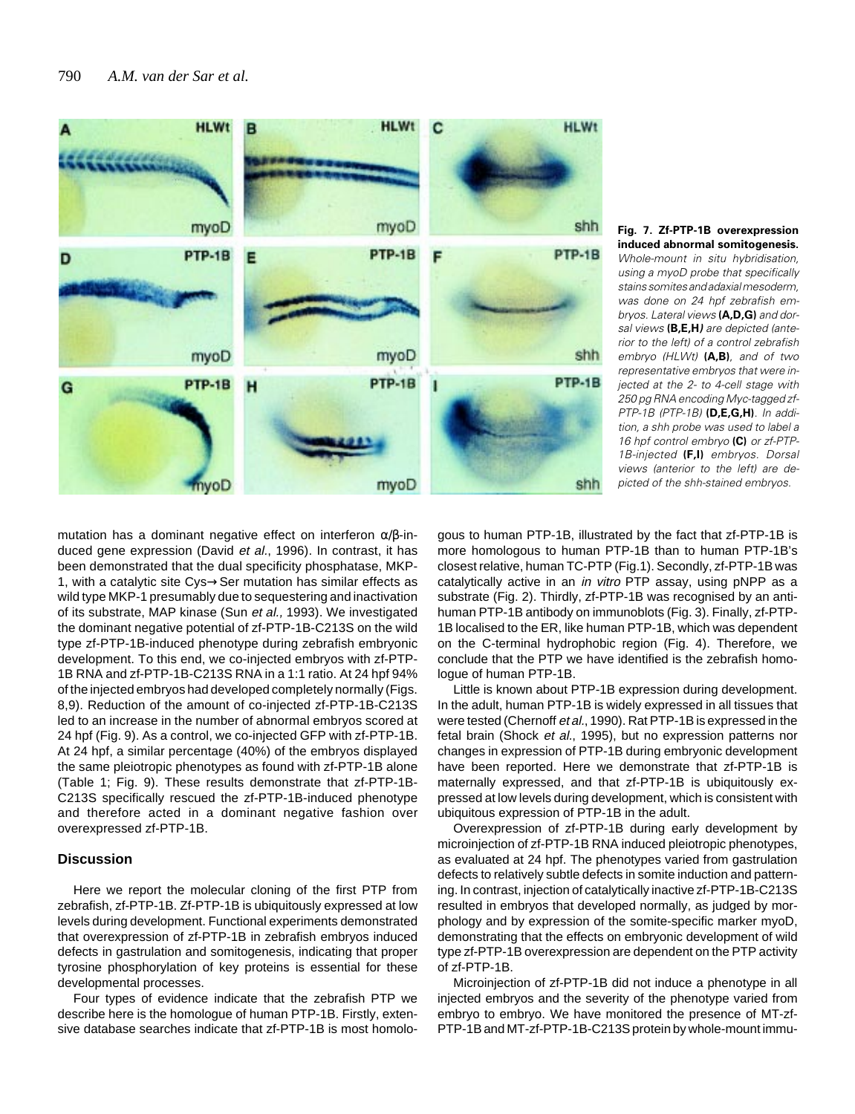

**Fig. 7. Zf-PTP-1B overexpression induced abnormal somitogenesis.** Whole-mount in situ hybridisation, using a myoD probe that specifically stains somites and adaxial mesoderm, was done on 24 hpf zebrafish embryos. Lateral views **(A,D,G)** and dorsal views **(B,E,H)** are depicted (anterior to the left) of a control zebrafish embryo (HLWt) **(A,B)**, and of two representative embryos that were injected at the 2- to 4-cell stage with 250 pg RNA encoding Myc-tagged zf-PTP-1B (PTP-1B) **(D,E,G,H)**. In addition, a shh probe was used to label a 16 hpf control embryo **(C)** or zf-PTP-1B-injected **(F,I)** embryos. Dorsal views (anterior to the left) are depicted of the shh-stained embryos.

mutation has a dominant negative effect on interferon  $\alpha/\beta$ -induced gene expression (David et al., 1996). In contrast, it has been demonstrated that the dual specificity phosphatase, MKP-1, with a catalytic site Cys→Ser mutation has similar effects as wild type MKP-1 presumably due to sequestering and inactivation of its substrate, MAP kinase (Sun et al., 1993). We investigated the dominant negative potential of zf-PTP-1B-C213S on the wild type zf-PTP-1B-induced phenotype during zebrafish embryonic development. To this end, we co-injected embryos with zf-PTP-1B RNA and zf-PTP-1B-C213S RNA in a 1:1 ratio. At 24 hpf 94% of the injected embryos had developed completely normally (Figs. 8,9). Reduction of the amount of co-injected zf-PTP-1B-C213S led to an increase in the number of abnormal embryos scored at 24 hpf (Fig. 9). As a control, we co-injected GFP with zf-PTP-1B. At 24 hpf, a similar percentage (40%) of the embryos displayed the same pleiotropic phenotypes as found with zf-PTP-1B alone (Table 1; Fig. 9). These results demonstrate that zf-PTP-1B-C213S specifically rescued the zf-PTP-1B-induced phenotype and therefore acted in a dominant negative fashion over overexpressed zf-PTP-1B.

# **Discussion**

Here we report the molecular cloning of the first PTP from zebrafish, zf-PTP-1B. Zf-PTP-1B is ubiquitously expressed at low levels during development. Functional experiments demonstrated that overexpression of zf-PTP-1B in zebrafish embryos induced defects in gastrulation and somitogenesis, indicating that proper tyrosine phosphorylation of key proteins is essential for these developmental processes.

Four types of evidence indicate that the zebrafish PTP we describe here is the homologue of human PTP-1B. Firstly, extensive database searches indicate that zf-PTP-1B is most homolo-

gous to human PTP-1B, illustrated by the fact that zf-PTP-1B is more homologous to human PTP-1B than to human PTP-1B's closest relative, human TC-PTP (Fig.1). Secondly, zf-PTP-1B was catalytically active in an in vitro PTP assay, using pNPP as a substrate (Fig. 2). Thirdly, zf-PTP-1B was recognised by an antihuman PTP-1B antibody on immunoblots (Fig. 3). Finally, zf-PTP-1B localised to the ER, like human PTP-1B, which was dependent on the C-terminal hydrophobic region (Fig. 4). Therefore, we conclude that the PTP we have identified is the zebrafish homologue of human PTP-1B.

Little is known about PTP-1B expression during development. In the adult, human PTP-1B is widely expressed in all tissues that were tested (Chernoff et al., 1990). Rat PTP-1B is expressed in the fetal brain (Shock et al., 1995), but no expression patterns nor changes in expression of PTP-1B during embryonic development have been reported. Here we demonstrate that zf-PTP-1B is maternally expressed, and that zf-PTP-1B is ubiquitously expressed at low levels during development, which is consistent with ubiquitous expression of PTP-1B in the adult.

Overexpression of zf-PTP-1B during early development by microinjection of zf-PTP-1B RNA induced pleiotropic phenotypes, as evaluated at 24 hpf. The phenotypes varied from gastrulation defects to relatively subtle defects in somite induction and patterning. In contrast, injection of catalytically inactive zf-PTP-1B-C213S resulted in embryos that developed normally, as judged by morphology and by expression of the somite-specific marker myoD, demonstrating that the effects on embryonic development of wild type zf-PTP-1B overexpression are dependent on the PTP activity of zf-PTP-1B.

Microinjection of zf-PTP-1B did not induce a phenotype in all injected embryos and the severity of the phenotype varied from embryo to embryo. We have monitored the presence of MT-zf-PTP-1B and MT-zf-PTP-1B-C213S protein by whole-mount immu-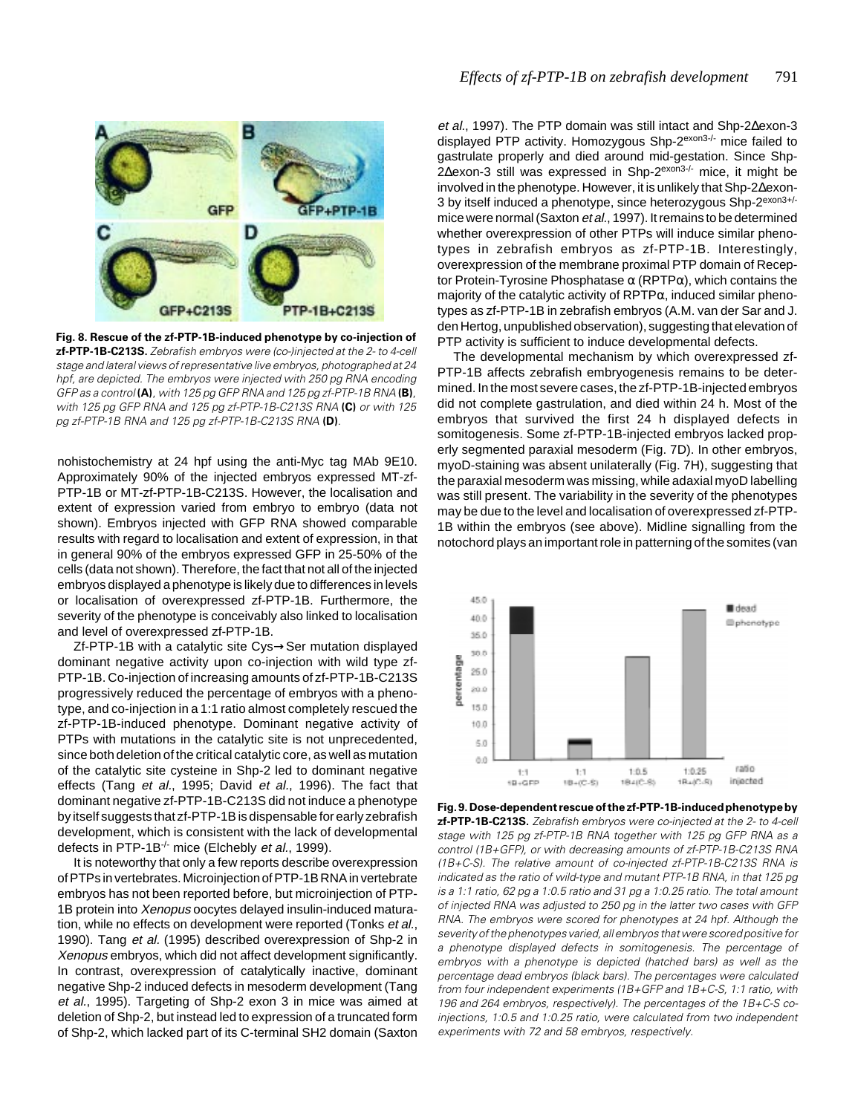

**Fig. 8. Rescue of the zf-PTP-1B-induced phenotype by co-injection of zf-PTP-1B-C213S.** Zebrafish embryos were (co-)injected at the 2- to 4-cell stage and lateral views of representative live embryos, photographed at 24 hpf, are depicted. The embryos were injected with 250 pg RNA encoding GFP as a control **(A)**, with 125 pg GFP RNA and 125 pg zf-PTP-1B RNA **(B)**, with 125 pg GFP RNA and 125 pg zf-PTP-1B-C213S RNA **(C)** or with 125 pg zf-PTP-1B RNA and 125 pg zf-PTP-1B-C213S RNA **(D)**.

nohistochemistry at 24 hpf using the anti-Myc tag MAb 9E10. Approximately 90% of the injected embryos expressed MT-zf-PTP-1B or MT-zf-PTP-1B-C213S. However, the localisation and extent of expression varied from embryo to embryo (data not shown). Embryos injected with GFP RNA showed comparable results with regard to localisation and extent of expression, in that in general 90% of the embryos expressed GFP in 25-50% of the cells (data not shown). Therefore, the fact that not all of the injected embryos displayed a phenotype is likely due to differences in levels or localisation of overexpressed zf-PTP-1B. Furthermore, the severity of the phenotype is conceivably also linked to localisation and level of overexpressed zf-PTP-1B.

Zf-PTP-1B with a catalytic site Cys→Ser mutation displayed dominant negative activity upon co-injection with wild type zf-PTP-1B. Co-injection of increasing amounts of zf-PTP-1B-C213S progressively reduced the percentage of embryos with a phenotype, and co-injection in a 1:1 ratio almost completely rescued the zf-PTP-1B-induced phenotype. Dominant negative activity of PTPs with mutations in the catalytic site is not unprecedented, since both deletion of the critical catalytic core, as well as mutation of the catalytic site cysteine in Shp-2 led to dominant negative effects (Tang et al., 1995; David et al., 1996). The fact that dominant negative zf-PTP-1B-C213S did not induce a phenotype by itself suggests that zf-PTP-1B is dispensable for early zebrafish development, which is consistent with the lack of developmental defects in PTP-1B<sup>-/-</sup> mice (Elchebly et al., 1999).

It is noteworthy that only a few reports describe overexpression of PTPs in vertebrates. Microinjection of PTP-1B RNA in vertebrate embryos has not been reported before, but microinjection of PTP-1B protein into Xenopus oocytes delayed insulin-induced maturation, while no effects on development were reported (Tonks et al., 1990). Tang et al. (1995) described overexpression of Shp-2 in Xenopus embryos, which did not affect development significantly. In contrast, overexpression of catalytically inactive, dominant negative Shp-2 induced defects in mesoderm development (Tang et al., 1995). Targeting of Shp-2 exon 3 in mice was aimed at deletion of Shp-2, but instead led to expression of a truncated form of Shp-2, which lacked part of its C-terminal SH2 domain (Saxton

et al., 1997). The PTP domain was still intact and Shp-2∆exon-3 displayed PTP activity. Homozygous Shp-2<sup>exon3-/-</sup> mice failed to gastrulate properly and died around mid-gestation. Since Shp-2∆exon-3 still was expressed in Shp-2<sup>exon3-/-</sup> mice, it might be involved in the phenotype. However, it is unlikely that Shp-2∆exon-3 by itself induced a phenotype, since heterozygous Shp-2exon3+/ mice were normal (Saxton et al., 1997). It remains to be determined whether overexpression of other PTPs will induce similar phenotypes in zebrafish embryos as zf-PTP-1B. Interestingly, overexpression of the membrane proximal PTP domain of Receptor Protein-Tyrosine Phosphatase  $\alpha$  (RPTP $\alpha$ ), which contains the majority of the catalytic activity of  $RPTP\alpha$ , induced similar phenotypes as zf-PTP-1B in zebrafish embryos (A.M. van der Sar and J. den Hertog, unpublished observation), suggesting that elevation of PTP activity is sufficient to induce developmental defects.

The developmental mechanism by which overexpressed zf-PTP-1B affects zebrafish embryogenesis remains to be determined. In the most severe cases, the zf-PTP-1B-injected embryos did not complete gastrulation, and died within 24 h. Most of the embryos that survived the first 24 h displayed defects in somitogenesis. Some zf-PTP-1B-injected embryos lacked properly segmented paraxial mesoderm (Fig. 7D). In other embryos, myoD-staining was absent unilaterally (Fig. 7H), suggesting that the paraxial mesoderm was missing, while adaxial myoD labelling was still present. The variability in the severity of the phenotypes may be due to the level and localisation of overexpressed zf-PTP-1B within the embryos (see above). Midline signalling from the notochord plays an important role in patterning of the somites (van



**Fig. 9. Dose-dependent rescue of the zf-PTP-1B-induced phenotype by zf-PTP-1B-C213S.** Zebrafish embryos were co-injected at the 2- to 4-cell stage with 125 pg zf-PTP-1B RNA together with 125 pg GFP RNA as a control (1B+GFP), or with decreasing amounts of zf-PTP-1B-C213S RNA (1B+C-S). The relative amount of co-injected zf-PTP-1B-C213S RNA is indicated as the ratio of wild-type and mutant PTP-1B RNA, in that 125 pg is a 1:1 ratio, 62 pg a 1:0.5 ratio and 31 pg a 1:0.25 ratio. The total amount of injected RNA was adjusted to 250 pg in the latter two cases with GFP RNA. The embryos were scored for phenotypes at 24 hpf. Although the severity of the phenotypes varied, all embryos that were scored positive for a phenotype displayed defects in somitogenesis. The percentage of embryos with a phenotype is depicted (hatched bars) as well as the percentage dead embryos (black bars). The percentages were calculated from four independent experiments (1B+GFP and 1B+C-S, 1:1 ratio, with 196 and 264 embryos, respectively). The percentages of the 1B+C-S coinjections, 1:0.5 and 1:0.25 ratio, were calculated from two independent experiments with 72 and 58 embryos, respectively.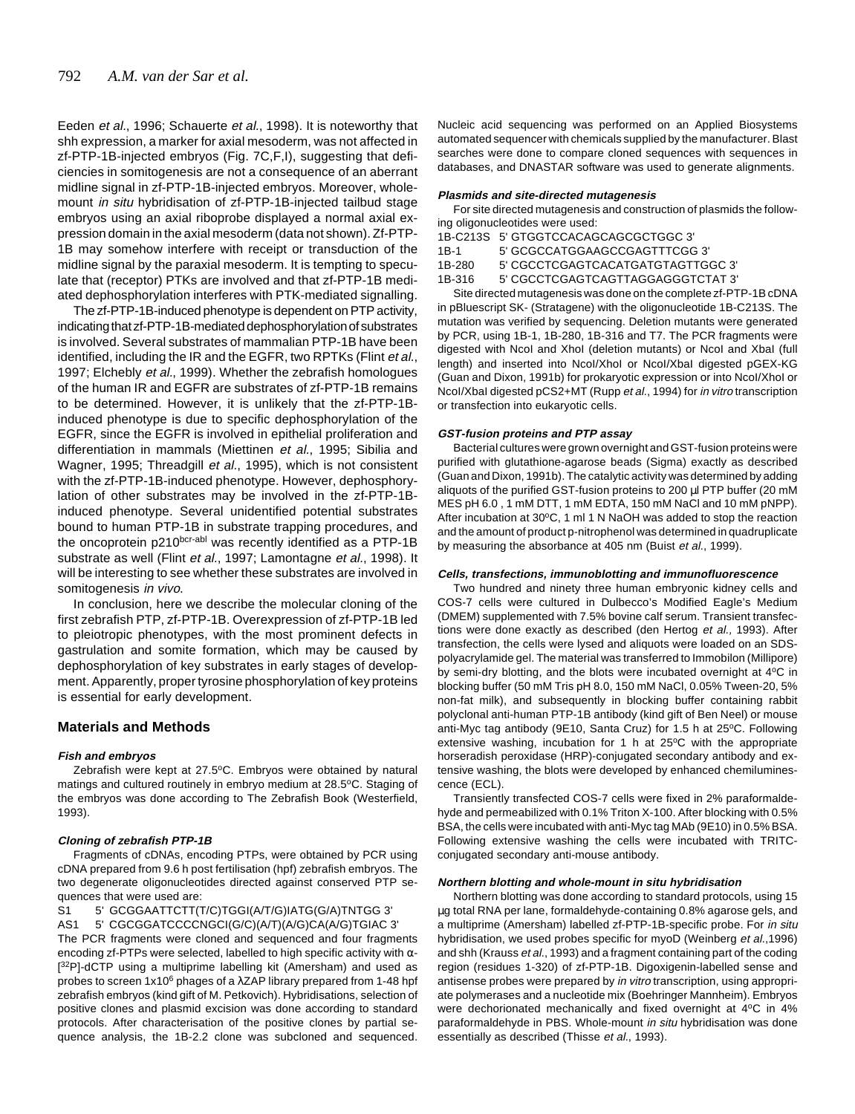Eeden et al., 1996; Schauerte et al., 1998). It is noteworthy that shh expression, a marker for axial mesoderm, was not affected in zf-PTP-1B-injected embryos (Fig. 7C,F,I), suggesting that deficiencies in somitogenesis are not a consequence of an aberrant midline signal in zf-PTP-1B-injected embryos. Moreover, wholemount in situ hybridisation of zf-PTP-1B-injected tailbud stage embryos using an axial riboprobe displayed a normal axial expression domain in the axial mesoderm (data not shown). Zf-PTP-1B may somehow interfere with receipt or transduction of the midline signal by the paraxial mesoderm. It is tempting to speculate that (receptor) PTKs are involved and that zf-PTP-1B mediated dephosphorylation interferes with PTK-mediated signalling.

The zf-PTP-1B-induced phenotype is dependent on PTP activity, indicating that zf-PTP-1B-mediated dephosphorylation of substrates is involved. Several substrates of mammalian PTP-1B have been identified, including the IR and the EGFR, two RPTKs (Flint et al., 1997; Elchebly et al., 1999). Whether the zebrafish homologues of the human IR and EGFR are substrates of zf-PTP-1B remains to be determined. However, it is unlikely that the zf-PTP-1Binduced phenotype is due to specific dephosphorylation of the EGFR, since the EGFR is involved in epithelial proliferation and differentiation in mammals (Miettinen et al., 1995; Sibilia and Wagner, 1995; Threadgill et al., 1995), which is not consistent with the zf-PTP-1B-induced phenotype. However, dephosphorylation of other substrates may be involved in the zf-PTP-1Binduced phenotype. Several unidentified potential substrates bound to human PTP-1B in substrate trapping procedures, and the oncoprotein p210<sup>bcr-abl</sup> was recently identified as a PTP-1B substrate as well (Flint et al., 1997; Lamontagne et al., 1998). It will be interesting to see whether these substrates are involved in somitogenesis in vivo.

In conclusion, here we describe the molecular cloning of the first zebrafish PTP, zf-PTP-1B. Overexpression of zf-PTP-1B led to pleiotropic phenotypes, with the most prominent defects in gastrulation and somite formation, which may be caused by dephosphorylation of key substrates in early stages of development. Apparently, proper tyrosine phosphorylation of key proteins is essential for early development.

# **Materials and Methods**

## **Fish and embryos**

Zebrafish were kept at 27.5°C. Embryos were obtained by natural matings and cultured routinely in embryo medium at 28.5°C. Staging of the embryos was done according to The Zebrafish Book (Westerfield, 1993).

## **Cloning of zebrafish PTP-1B**

Fragments of cDNAs, encoding PTPs, were obtained by PCR using cDNA prepared from 9.6 h post fertilisation (hpf) zebrafish embryos. The two degenerate oligonucleotides directed against conserved PTP sequences that were used are:

# S1 5' GCGGAATTCTT(T/C)TGGI(A/T/G)IATG(G/A)TNTGG 3'

AS1 5' CGCGGATCCCCNGCI(G/C)(A/T)(A/G)CA(A/G)TGIAC 3' The PCR fragments were cloned and sequenced and four fragments encoding zf-PTPs were selected, labelled to high specific activity with  $\alpha$ -[<sup>32</sup>P]-dCTP using a multiprime labelling kit (Amersham) and used as probes to screen 1x106 phages of a λZAP library prepared from 1-48 hpf zebrafish embryos (kind gift of M. Petkovich). Hybridisations, selection of positive clones and plasmid excision was done according to standard protocols. After characterisation of the positive clones by partial sequence analysis, the 1B-2.2 clone was subcloned and sequenced. Nucleic acid sequencing was performed on an Applied Biosystems automated sequencer with chemicals supplied by the manufacturer. Blast searches were done to compare cloned sequences with sequences in databases, and DNASTAR software was used to generate alignments.

## **Plasmids and site-directed mutagenesis**

For site directed mutagenesis and construction of plasmids the following oligonucleotides were used:

|        | 1B-C213S 5' GTGGTCCACAGCAGCGCTGGC 3' |
|--------|--------------------------------------|
| 1B-1   | 5' GCGCCATGGAAGCCGAGTTTCGG 3'        |
| 1B-280 | 5' CGCCTCGAGTCACATGATGTAGTTGGC 3'    |
| 1B-316 | 5' CGCCTCGAGTCAGTTAGGAGGGTCTAT 3'    |

Site directed mutagenesis was done on the complete zf-PTP-1B cDNA in pBluescript SK- (Stratagene) with the oligonucleotide 1B-C213S. The mutation was verified by sequencing. Deletion mutants were generated by PCR, using 1B-1, 1B-280, 1B-316 and T7. The PCR fragments were digested with NcoI and XhoI (deletion mutants) or NcoI and XbaI (full length) and inserted into NcoI/XhoI or NcoI/XbaI digested pGEX-KG (Guan and Dixon, 1991b) for prokaryotic expression or into NcoI/XhoI or NcoI/XbaI digested pCS2+MT (Rupp et al., 1994) for in vitro transcription or transfection into eukaryotic cells.

## **GST-fusion proteins and PTP assay**

Bacterial cultures were grown overnight and GST-fusion proteins were purified with glutathione-agarose beads (Sigma) exactly as described (Guan and Dixon, 1991b). The catalytic activity was determined by adding aliquots of the purified GST-fusion proteins to 200 µl PTP buffer (20 mM MES pH 6.0 , 1 mM DTT, 1 mM EDTA, 150 mM NaCl and 10 mM pNPP). After incubation at 30 $\degree$ C, 1 ml 1 N NaOH was added to stop the reaction and the amount of product p-nitrophenol was determined in quadruplicate by measuring the absorbance at 405 nm (Buist et al., 1999).

#### **Cells, transfections, immunoblotting and immunofluorescence**

Two hundred and ninety three human embryonic kidney cells and COS-7 cells were cultured in Dulbecco's Modified Eagle's Medium (DMEM) supplemented with 7.5% bovine calf serum. Transient transfections were done exactly as described (den Hertog et al., 1993). After transfection, the cells were lysed and aliquots were loaded on an SDSpolyacrylamide gel. The material was transferred to Immobilon (Millipore) by semi-dry blotting, and the blots were incubated overnight at 4°C in blocking buffer (50 mM Tris pH 8.0, 150 mM NaCl, 0.05% Tween-20, 5% non-fat milk), and subsequently in blocking buffer containing rabbit polyclonal anti-human PTP-1B antibody (kind gift of Ben Neel) or mouse anti-Myc tag antibody (9E10, Santa Cruz) for 1.5 h at 25°C. Following extensive washing, incubation for 1 h at  $25^{\circ}$ C with the appropriate horseradish peroxidase (HRP)-conjugated secondary antibody and extensive washing, the blots were developed by enhanced chemiluminescence (ECL).

Transiently transfected COS-7 cells were fixed in 2% paraformaldehyde and permeabilized with 0.1% Triton X-100. After blocking with 0.5% BSA, the cells were incubated with anti-Myc tag MAb (9E10) in 0.5% BSA. Following extensive washing the cells were incubated with TRITCconjugated secondary anti-mouse antibody.

#### **Northern blotting and whole-mount in situ hybridisation**

Northern blotting was done according to standard protocols, using 15 µg total RNA per lane, formaldehyde-containing 0.8% agarose gels, and a multiprime (Amersham) labelled zf-PTP-1B-specific probe. For in situ hybridisation, we used probes specific for myoD (Weinberg et al.,1996) and shh (Krauss et al., 1993) and a fragment containing part of the coding region (residues 1-320) of zf-PTP-1B. Digoxigenin-labelled sense and antisense probes were prepared by in vitro transcription, using appropriate polymerases and a nucleotide mix (Boehringer Mannheim). Embryos were dechorionated mechanically and fixed overnight at 4°C in 4% paraformaldehyde in PBS. Whole-mount in situ hybridisation was done essentially as described (Thisse et al., 1993).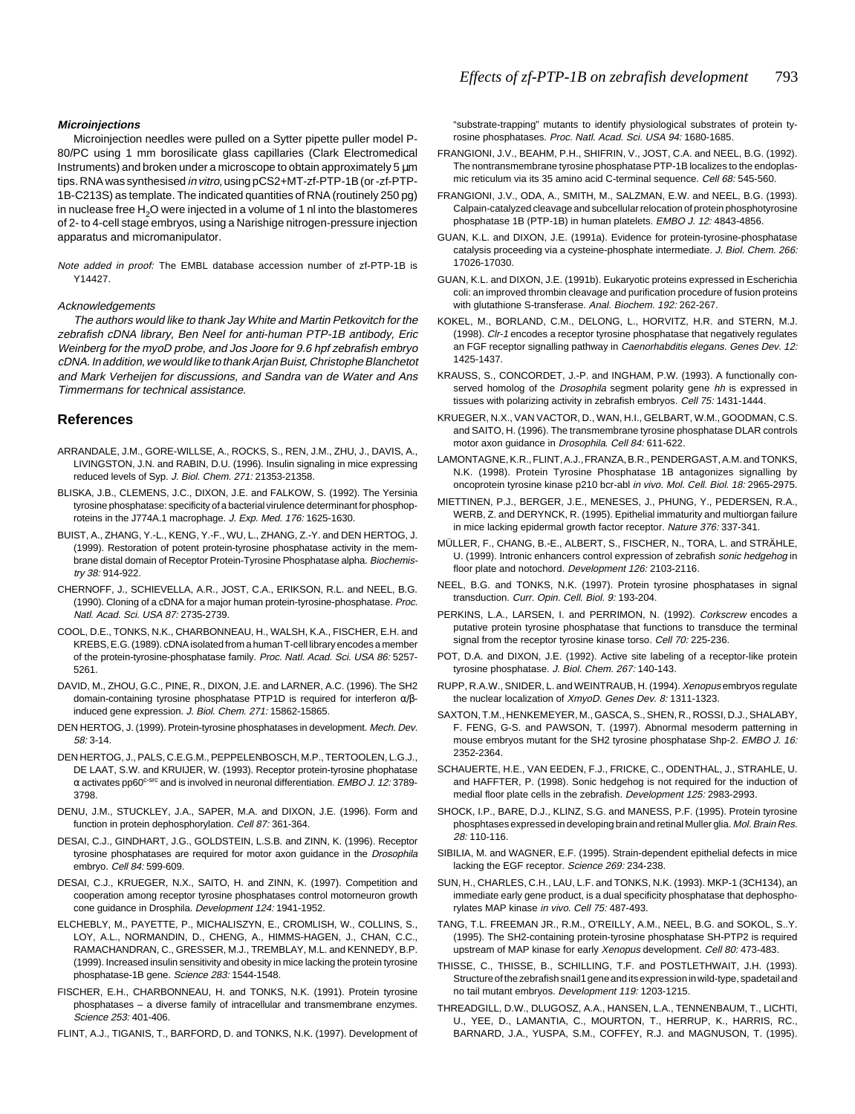### **Microinjections**

Microinjection needles were pulled on a Sytter pipette puller model P-80/PC using 1 mm borosilicate glass capillaries (Clark Electromedical Instruments) and broken under a microscope to obtain approximately 5 µm tips. RNA was synthesised in vitro, using pCS2+MT-zf-PTP-1B (or -zf-PTP-1B-C213S) as template. The indicated quantities of RNA (routinely 250 pg) in nuclease free  $H_2O$  were injected in a volume of 1 nl into the blastomeres of 2- to 4-cell stage embryos, using a Narishige nitrogen-pressure injection apparatus and micromanipulator.

Note added in proof: The EMBL database accession number of zf-PTP-1B is Y14427.

### Acknowledgements

The authors would like to thank Jay White and Martin Petkovitch for the zebrafish cDNA library, Ben Neel for anti-human PTP-1B antibody, Eric Weinberg for the myoD probe, and Jos Joore for 9.6 hpf zebrafish embryo cDNA. In addition, we would like to thank Arjan Buist, Christophe Blanchetot and Mark Verheijen for discussions, and Sandra van de Water and Ans Timmermans for technical assistance.

## **References**

- ARRANDALE, J.M., GORE-WILLSE, A., ROCKS, S., REN, J.M., ZHU, J., DAVIS, A., LIVINGSTON, J.N. and RABIN, D.U. (1996). Insulin signaling in mice expressing reduced levels of Syp. J. Biol. Chem. 271: 21353-21358.
- BLISKA, J.B., CLEMENS, J.C., DIXON, J.E. and FALKOW, S. (1992). The Yersinia tyrosine phosphatase: specificity of a bacterial virulence determinant for phosphoproteins in the J774A.1 macrophage. J. Exp. Med. 176: 1625-1630.
- BUIST, A., ZHANG, Y.-L., KENG, Y.-F., WU, L., ZHANG, Z.-Y. and DEN HERTOG, J. (1999). Restoration of potent protein-tyrosine phosphatase activity in the membrane distal domain of Receptor Protein-Tyrosine Phosphatase alpha. Biochemistry 38: 914-922.
- CHERNOFF, J., SCHIEVELLA, A.R., JOST, C.A., ERIKSON, R.L. and NEEL, B.G. (1990). Cloning of a cDNA for a major human protein-tyrosine-phosphatase. Proc. Natl. Acad. Sci. USA 87: 2735-2739.
- COOL, D.E., TONKS, N.K., CHARBONNEAU, H., WALSH, K.A., FISCHER, E.H. and KREBS, E.G. (1989). cDNA isolated from a human T-cell library encodes a member of the protein-tyrosine-phosphatase family. Proc. Natl. Acad. Sci. USA 86: 5257-5261.
- DAVID, M., ZHOU, G.C., PINE, R., DIXON, J.E. and LARNER, A.C. (1996). The SH2 domain-containing tyrosine phosphatase PTP1D is required for interferon α/βinduced gene expression. J. Biol. Chem. 271: 15862-15865.
- DEN HERTOG, J. (1999). Protein-tyrosine phosphatases in development. Mech. Dev.  $58.3 - 14$
- DEN HERTOG, J., PALS, C.E.G.M., PEPPELENBOSCH, M.P., TERTOOLEN, L.G.J., DE LAAT, S.W. and KRUIJER, W. (1993). Receptor protein-tyrosine phophatase  $\alpha$  activates pp60<sup>c-src</sup> and is involved in neuronal differentiation. EMBO J. 12:3789-3798.
- DENU, J.M., STUCKLEY, J.A., SAPER, M.A. and DIXON, J.E. (1996). Form and function in protein dephosphorylation. Cell 87: 361-364.
- DESAI, C.J., GINDHART, J.G., GOLDSTEIN, L.S.B. and ZINN, K. (1996). Receptor tyrosine phosphatases are required for motor axon guidance in the Drosophila embryo. Cell 84: 599-609.
- DESAI, C.J., KRUEGER, N.X., SAITO, H. and ZINN, K. (1997). Competition and cooperation among receptor tyrosine phosphatases control motorneuron growth cone guidance in Drosphila. Development 124: 1941-1952.
- ELCHEBLY, M., PAYETTE, P., MICHALISZYN, E., CROMLISH, W., COLLINS, S., LOY, A.L., NORMANDIN, D., CHENG, A., HIMMS-HAGEN, J., CHAN, C.C., RAMACHANDRAN, C., GRESSER, M.J., TREMBLAY, M.L. and KENNEDY, B.P. (1999). Increased insulin sensitivity and obesity in mice lacking the protein tyrosine phosphatase-1B gene. Science 283: 1544-1548.
- FISCHER, E.H., CHARBONNEAU, H. and TONKS, N.K. (1991). Protein tyrosine phosphatases – a diverse family of intracellular and transmembrane enzymes. Science 253: 401-406.
- FLINT, A.J., TIGANIS, T., BARFORD, D. and TONKS, N.K. (1997). Development of

"substrate-trapping" mutants to identify physiological substrates of protein tyrosine phosphatases. Proc. Natl. Acad. Sci. USA 94: 1680-1685.

- FRANGIONI, J.V., BEAHM, P.H., SHIFRIN, V., JOST, C.A. and NEEL, B.G. (1992). The nontransmembrane tyrosine phosphatase PTP-1B localizes to the endoplasmic reticulum via its 35 amino acid C-terminal sequence. Cell 68: 545-560.
- FRANGIONI, J.V., ODA, A., SMITH, M., SALZMAN, E.W. and NEEL, B.G. (1993). Calpain-catalyzed cleavage and subcellular relocation of protein phosphotyrosine phosphatase 1B (PTP-1B) in human platelets. EMBO J. 12: 4843-4856.
- GUAN, K.L. and DIXON, J.E. (1991a). Evidence for protein-tyrosine-phosphatase catalysis proceeding via a cysteine-phosphate intermediate. J. Biol. Chem. 266: 17026-17030.
- GUAN, K.L. and DIXON, J.E. (1991b). Eukaryotic proteins expressed in Escherichia coli: an improved thrombin cleavage and purification procedure of fusion proteins with glutathione S-transferase. Anal. Biochem. 192: 262-267.
- KOKEL, M., BORLAND, C.M., DELONG, L., HORVITZ, H.R. and STERN, M.J. (1998). Clr-1 encodes a receptor tyrosine phosphatase that negatively regulates an FGF receptor signalling pathway in Caenorhabditis elegans. Genes Dev. 12: 1425-1437.
- KRAUSS, S., CONCORDET, J.-P. and INGHAM, P.W. (1993). A functionally conserved homolog of the Drosophila segment polarity gene hh is expressed in tissues with polarizing activity in zebrafish embryos. Cell 75: 1431-1444.
- KRUEGER, N.X., VAN VACTOR, D., WAN, H.I., GELBART, W.M., GOODMAN, C.S. and SAITO, H. (1996). The transmembrane tyrosine phosphatase DLAR controls motor axon guidance in Drosophila. Cell 84: 611-622.
- LAMONTAGNE, K.R., FLINT, A.J., FRANZA, B.R., PENDERGAST, A.M. and TONKS, N.K. (1998). Protein Tyrosine Phosphatase 1B antagonizes signalling by oncoprotein tyrosine kinase p210 bcr-abl in vivo. Mol. Cell. Biol. 18: 2965-2975.
- MIETTINEN, P.J., BERGER, J.E., MENESES, J., PHUNG, Y., PEDERSEN, R.A., WERB, Z. and DERYNCK, R. (1995). Epithelial immaturity and multiorgan failure in mice lacking epidermal growth factor receptor. Nature 376: 337-341.
- MÜLLER, F., CHANG, B.-E., ALBERT, S., FISCHER, N., TORA, L. and STRÄHLE, U. (1999). Intronic enhancers control expression of zebrafish sonic hedgehog in floor plate and notochord. Development 126: 2103-2116.
- NEEL, B.G. and TONKS, N.K. (1997). Protein tyrosine phosphatases in signal transduction. Curr. Opin. Cell. Biol. 9: 193-204.
- PERKINS, L.A., LARSEN, I. and PERRIMON, N. (1992). Corkscrew encodes a putative protein tyrosine phosphatase that functions to transduce the terminal signal from the receptor tyrosine kinase torso. Cell 70: 225-236.
- POT, D.A. and DIXON, J.E. (1992). Active site labeling of a receptor-like protein tyrosine phosphatase. J. Biol. Chem. 267: 140-143.
- RUPP, R.A.W., SNIDER, L. and WEINTRAUB, H. (1994). Xenopus embryos regulate the nuclear localization of XmyoD. Genes Dev. 8: 1311-1323.
- SAXTON, T.M., HENKEMEYER, M., GASCA, S., SHEN, R., ROSSI, D.J., SHALABY, F. FENG, G-S. and PAWSON, T. (1997). Abnormal mesoderm patterning in mouse embryos mutant for the SH2 tyrosine phosphatase Shp-2. EMBO J. 16: 2352-2364.
- SCHAUERTE, H.E., VAN EEDEN, F.J., FRICKE, C., ODENTHAL, J., STRAHLE, U. and HAFFTER, P. (1998). Sonic hedgehog is not required for the induction of medial floor plate cells in the zebrafish. Development 125: 2983-2993.
- SHOCK, I.P., BARE, D.J., KLINZ, S.G. and MANESS, P.F. (1995). Protein tyrosine phosphtases expressed in developing brain and retinal Muller glia. Mol. Brain Res. 28: 110-116.
- SIBILIA, M. and WAGNER, E.F. (1995). Strain-dependent epithelial defects in mice lacking the EGF receptor. Science 269: 234-238.
- SUN, H., CHARLES, C.H., LAU, L.F. and TONKS, N.K. (1993). MKP-1 (3CH134), an immediate early gene product, is a dual specificity phosphatase that dephosphorylates MAP kinase in vivo. Cell 75: 487-493.
- TANG, T.L. FREEMAN JR., R.M., O'REILLY, A.M., NEEL, B.G. and SOKOL, S..Y. (1995). The SH2-containing protein-tyrosine phosphatase SH-PTP2 is required upstream of MAP kinase for early Xenopus development. Cell 80: 473-483.
- THISSE, C., THISSE, B., SCHILLING, T.F. and POSTLETHWAIT, J.H. (1993). Structure of the zebrafish snail1 gene and its expression in wild-type, spadetail and no tail mutant embryos. Development 119: 1203-1215.
- THREADGILL, D.W., DLUGOSZ, A.A., HANSEN, L.A., TENNENBAUM, T., LICHTI, U., YEE, D., LAMANTIA, C., MOURTON, T., HERRUP, K., HARRIS, RC., BARNARD, J.A., YUSPA, S.M., COFFEY, R.J. and MAGNUSON, T. (1995).